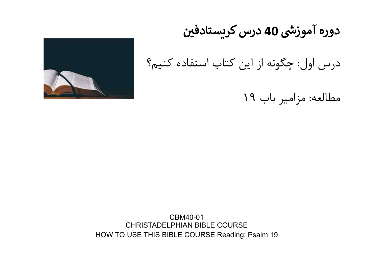

# دوره آموزشی 40 درس کریستادفین

درس اول: چگونه از اين كتاب استفاده كنيم؟

مطالعه: مزامير باب ١٩

CBM40-01 CHRISTADELPHIAN BIBLE COURSE HOW TO USE THIS BIBLE COURSE Reading: Psalm 19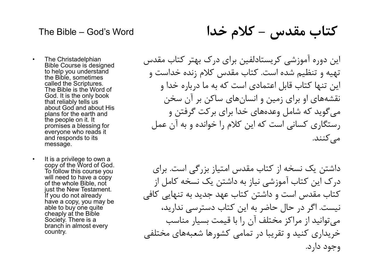# اس العلم العبد السلم The Bible – God's Word<br>The Christadelphian ای در ک مهتر کتاب مقدس

كتاب مقدس - كلام خدا

- The Bible God's Word<br>• The Christadelphian<br>• Bible Course is designed<br>• to help you understand<br>• called the Scriptures.<br>• باره خدا و الله عدم الله عن الله عدم الله عن الله عن الله عن الله عن الله عن الله<br>باره خدا و ا Bible Course is designed to help you understand the Bible, sometimes called the Scriptures. The Bible is the Word of God. It is the only book that reliably tells us about God and about His plans for the earth and the people on it. It promises a blessing for everyone who reads it and responds to its message. • The Christadelphian<br>Bible Course is designed<br>to help you understand<br>the Bible, sometimes.<br>Called the Scriptures.<br>The Bible is the Word of<br>God. It is the only book<br>that reliably tells us<br>about God and about His<br>plans for
- copy of the Word of God. To follow this course you will need to have a copy of the whole Bible, not just the New Testament. If you do not already have a copy, you may be able to buy one quite cheaply at the Bible Society. There is a branch in almost every country.

اين دوره آموزشي كريستادلفين براي درك بهتر كتاب مقدس تهيه و تنظيم شده است. كتاب مقدس كلام زنده خداست و اين تنها كتاب قابل اعتمادي است كه به ما درباره خدا و نقشه هاي او براي زمين و انسان هاي ساكن بر آن سخن مي گويد كه شامل وعده هاي خدا براي بركت گرفتن و رستگاري كساني است كه اين كلام را خوانده و به آن عمل مي كنند.

داشتن يك نسخه از كتاب مقدس امتياز بزرگي است. براي درك اين كتاب آموزشي نياز به داشتن يك نسخه كامل از كتاب مقدس است و داشتن كتاب عهد جديد به تنهايي كافي نيست. اگر در حال حاضر به اين كتاب دسترسي نداريد، مي توانيد از مراكز مختلف آن را با قيمت بسيار مناسب خريداري كنيد و تقريبا در تمامي كشورها شعبه هاي مختلفي وجود دارد.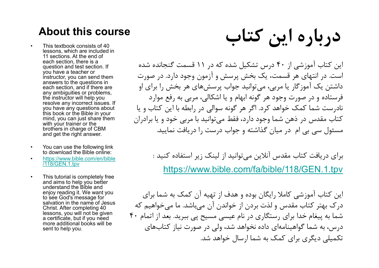### About this course

- lessons, which are included in 11 sections. At the end of each section, there is a question and test section. If you have a teacher or instructor, you can send them answers to the questions in each section, and if there are any ambiguities or problems, the instructor will help you resolve any incorrect issues. If you have any questions about this book or the Bible in your mind, you can just share them with your trainer or the brothers in charge of CBM and get the right answer. • This textbook consists of 40<br>• This textbook consists of 40<br>• lessons, which are included in<br>• acch section, there is a neutral of each section and test section. If<br>• accher of the questions and test section. If<br>• acche each section, there is a<br>question and test section. If<br>you have a teacher or<br>you have a teacher or<br>instruct of the questions in<br>answers to the questions in<br>each section, and if there are<br>any amoguities or problems,<br>the in
- to download the Bible online:
- https://www.bible.com/en/bible /118/GEN.1.tpv
- and aims to help you better understand the Bible and enjoy reading it. We want you to see God's message for salvation in the name of Jesus Christ. After completing 40 lessons, you will not be given a certificate, but if you need more additional books will be sent to help you.

كاب المسلمة About this course<br>- This textbook consists of 40<br>Issons, which are included in<br>actions. At the end of<br>each section, there is a<br>you have a teacher or ...<br>you have a teacher or ... اين كتاب آموزشي از ٤٠ درس تشكيل شده كه در ١١ قسمت گنجانده شده است. در انتهاي هر قسمت، يك بخش پرسش و آزمون وجود دارد. در صورت داشتن يك آموزگار يا مربي، مي توانيد جواب پرسش هاي هر بخش را براي او فرستاده و در صورت وجود هر گونه ابهام و يا اشكالي، مربي به رفع موارد نادرست شما كمك خواهد كرد. اگر هر گونه سوالي در رابطه با اين كتاب و يا كتاب مقدس در ذهن شما وجود دارد، فقط مي توانيد با مربي خود و يا برادران مسئول سي بي ام در ميان گذاشته و جواب درست را دريافت نماييد.

> براي دريافت كتاب مقدس آنلاين مي توانيد از لينك زير استفاده كنيد : https://www.bible.com/fa/bible/118/GEN.1.tpv

اين كتاب آموزشي كاملا رايگان بوده و هدف از تهيه آن كمك به شما براي درك بهتر كتاب مقدس و لذت بردن از خواندن آن مي باشد. ما مي خواهيم كه شما به پيغام خدا براي رستگاري در نام عيسي مسيح پي ببريد. بعد از اتمام ٤٠ درس، به شما گواهينامه اي داده نخواهد شد، ولي در صورت نياز كتاب هاي تكميلي ديگري براي كمك به شما ارسال خواهد شد.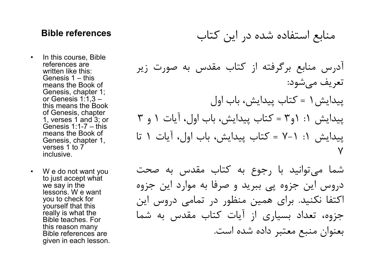### منابع استفاده شده در اين كتاب references Bible

- **Bible references**<br>• In this course, Bible<br>• references are written like this:<br>Genesis 1 this<br>means the Book of references are written like this:<br>Genesis 1 – this means the Book of Genesis, chapter 1; or Genesis 1:1,3 – this means the Book of Genesis, chapter 1, verses 1 and 3; or means the Book of Genesis, chapter 1, verses 1 to 7 inclusive. • In this course, Bible<br>
references are<br>
written like this:<br>
Genesis 1 – this<br>
means the Book of<br>
Genesis, chapter 1;<br>
or Genesis 1:1,3 –<br>
this means the Book<br>
of Genesis, chapter<br>
1, verses 1 and 3; or<br>
(Cenesis 1:1-7 –
- to just accept what we say in the lessons. W e want you to check for yourself that this really is what the Bible teaches. For this reason many Bible references are given in each lesson.

ن كتاب<br>Bible references<br>In this course, Bible<br>references are<br>written like this:<br>Genesis 1 – this<br>means the Book of<br>Genesis, chapter 1;<br>or Genesis 1:1,3 –<br>this means the Book **Bible references**<br>In this course, Bible<br>references are<br>written like this.<br>Genesis 1 – this<br>Genesis 1:1-1-1:<br>Genesis 1:1,3 –<br>of Genesis 1:1,3 –<br>this means the Book<br>of Genesis 1:1-7 – this<br>Cenesis 1:1-7 – this<br>means the Bo آدرس منابع برگرفته از كتاب مقدس به صورت زير تعريف مي شود: پيدايش١ = كتاب پيدايش، باب اول پيدايش :١ ١و٣ = كتاب پيدايش، باب اول، آيات ١ و ٣ پيدايش :١ ٧-١ = كتاب پيدايش، باب اول، آيات ١ تا ٧

شما مي توانيد با رجوع به كتاب مقدس به صحت دروس اين جزوه پي ببريد و صرفا به موارد اين جزوه اكتفا نكنيد. براي همين منظور در تمامي دروس اين جزوه، تعداد بسياري از آيات كتاب مقدس به شما بعنوان منبع معتبر داده شده است.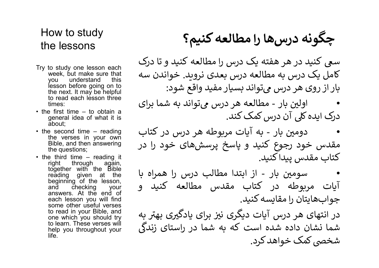### How to study the lessons

- times: to study one lessons<br>to study one lesson each<br>the make sure that<br>you understand this<br>lyou understand this<br>lesson before going on to<br>the next. It may be helpful<br>times:<br>the next are not be supplying the next in supplying th
- about;
- 
- io study one lesson each<br>week, but make sure that<br>you understand this<br>lesson before going on to<br>lesson before going on to<br>the next. It may be helpful<br>times:<br>times:<br>times:<br>times:<br>times:<br>times:<br>times is a straight the lesso week, but make sure that<br>you understand this mission before going on to<br>lesson before going on to<br>the next. It may be helpful<br>the next. It may be helpful<br>times:<br>it is and calce accolesson three<br>times:<br>it is first time - t you understand this<br>the next it may be helpful<br>the next it may be helpful<br>to read each lesson three<br>if mes:<br>it imes:<br>it imsers. The end oth what it is<br>general idea of what it is<br>about;<br>a general idea of what it is<br>about;<br> each lesson before going on to<br>the next. It may be helpful<br>to read each lesson three<br>times:<br>times:<br>first time - to obtain a<br>find the verses in your own and the interval<br>about;<br>a second time - reading it and the with a sec the next. It may be helpful<br>the next. It may be helpful<br>times:<br>times:<br>first time - to obtain a<br>deportant idea of what it is<br>a socond time - reading<br>about, and the verses in your own<br>the verses in your own<br>the verses in yo to read each lésson three<br>
in first times : first time - to obtain a<br>
general idea of what it is<br>
general idea of what it is<br>
about;<br>
about;<br>
about and time - reading<br>
the versions; in your own<br>
Bible, and then answering<br> times: times = first time – to obtain a<br>ginst time – to obtain a<br>gineral idea of what it is<br>about;<br>a second time – reading deal of what it is<br>the weres in jour own complement again,<br>Bible, and then answering should be equ the learn of what it is a second time - reading<br>about; about a second time - reading<br>a second time - reading<br>the verses in your own<br>the questions;<br>the questions;<br>the questions;<br>the questions;<br>the questions;<br>the questions; help you all the positive of vertain of vertain dea of what it is<br>about;<br>the verses in your own the verses in your own<br>the verses in your own<br>the verses in your own<br>Bible, and then answering to the discriber with the bibl life.

# چگونه درسها را مطالعه کنیم؟

**How to study**<br>the lessons<br>ک درس را مطالعه کنید و تا درک<br>Try to study one lesson each<br>م درس بعدی نروید. خواندن سه week, but make sure that<br>به درس بعدی نروید. خواندن سه wou understand this<br>lesson before going on to the nex ر**ا مطالعه كنيم؟**<br>ie lessons<br>to study one lesson each<br>week, but make sure that<br>you understand this hesson before going on to<br>exson before going on to<br>the next. It may be helpful<br>the next. It may be helpful<br>the read each l ر**ا مطالعه كنيم؟**<br>Intellessons<br>محه درس را مطالعه كنيد و تا درك<br>week, but make sure that محمد درس بعدى نرويد. خواندن سه<br>You understand this lesson before going on to lesson be next. It may be helpful<br>to read each lesson th **را مطالعه كنيم؟**<br>In lessons<br>In the section before it and the section before it and the surface of the surface of the surface th<br>you understand this you understand this lesson before going on to<br>lesson before going on to ow to study<br>ie lessons<br>to study one lesson each<br>to study one lesson each<br>you understand this you understand this<br>lesson before going on to<br>the next. It may be helpful<br>times: درس میتواند به شما برای<br>a first time – to obtai ow to study<br>In the lessons<br>to study one lesson each loss and the series to read the series of each<br>you understand this you understand this<br>you understand this exception to lesson be helpful<br>the next. It may be helpful the **ا را مطالعه كنيم؟**<br>• the lessons<br>• ميك درس را مطالعه كنيد و تا درك<br>• week, but make sure that<br>• week, but make sure that<br>• week, but make sure that<br>• week, but make sure that<br>• week. but mess:<br>• to read each lesson three **را مطالعه كنيم؟**<br>In le lessons<br>to study one lesson each<br>you understand this<br>you understand this<br>lyou understand this<br>lesson before going on to<br>ithe next. It may be nelpful to read each lesson three<br>of read each lesson th How to study<br>the lessons<br>try to study one lesson each<br>over that week, but make sure that<br>you understand this mean of the next. It may be helpful<br>esson before going on to<br>the next. It may be helpful<br>to read each lesson thr ow to study<br>
ie lessons<br>
to study one lesson each<br>
week, but make sure that<br>
you understand this<br>
you understand this<br>
your understand this<br>
lesson before going on to<br>
the next It may be helpful<br>
to read each lesson three OW to study<br>Inte lessons<br>Inte descended to study one lesson sechand to study one lesson sechand<br>you understand this<br>lesson before going on to the masker sure from the next it may be helpful<br>the next limes:<br>times: first ti the lessons<br>
• the tesson ease each week, but make sure that<br>
week, but make sure that<br>
you understand this<br>
you understand this score going on to<br>
the next. It may be helpful<br>
to read each lesson three<br>
the first time – right through a seam and the season each<br>week, but make sure that<br>you understand this<br>lesson before going on to<br>the next. It may be helpful<br>the next through a search the next through the next<br>of read each lesson three<br>tim to study one lesson each<br>week, but make sure that<br>week, but make sure that<br>desson before going on to<br>lesson before going on to<br>the next. It may be helpful<br>the next at may be helpful<br>the next at a colotin a<br>times:<br>or ad ea سعی کنید در هر هفته یک درس را مطالعه کنید و تا درک کامل یک درس به مطالعه درس بعدی نروید. خواندن سه بار از روی هر درس میتواند بسیار مفید واقع شود:

• •<br>درک ایده کلی آن درس کمک کند.<br>درک ایده کلی آن درس کمک کند.

to study one lesson each<br>week, but make sure that<br>week, but make sure that<br>you understand this<br>lesson before going on to<br>the next. It may be helpful<br>to read each lesson three<br>the next. It may be helpful<br>to read each lesso • دومین بار - به آیات مربوطه هر درس در کتاب مقدس خود رجᖔع کنᘮد و ᗺاسخ پرسش های خود را در کتاب مقدس پيدا کنيد.

• سومین بار - از ابتدا مطالب درس را همراه با آᘍات مᗖᖁوطه در کتاب مقدس مطالعه کنᘮد و جوابهایتان را مقایسه کنید.

در انتهای هر درس آیات دیگری نیز برای یادگیری بهتر به در انتهای هر درس ایاب دیگری نیز برای یادنیری بهار به<br>شما نشان داده شده است که به شما در راستای زندگی شخصی کمک خواهد کرد.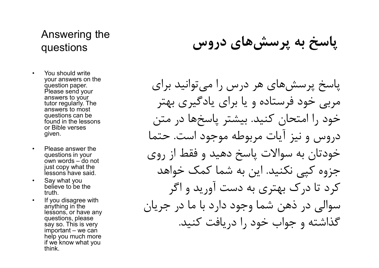### Answering the questions

- **Answering the<br>questions<br>• You should write**<br>your answers on the<br>question paper.<br>Please send your<br>answers to your<br>answers to your<br> $\ddot{ }$ your answers on the question paper. Please send your answers to your tutor regularly. The answers to most questions can be found in the lessons or Bible verses given.
- questions in your just copy what the lessons have said.
- believe to be the truth.
- anything in the lessons, or have any questions, please say so. This is very help you much more if we know what you think.

پاسخ به پرسش هاي دروس

Answering the<br>questions<br>you answers on the<br>your answers on the<br>question paper.<br>Please send your<br>answers to your<br>discributions to the lessons<br>or Bible verses<br>or Bible verses<br>or Bible verses<br>or Bible verses<br>or Bible verses<br> puestions<br>
You should write<br>guestion paper.<br>
guestion paper.<br>
Please send your<br>
answers to your<br>
answers to not<br>
dustroregularly. The<br>
the dessons<br>
or Bible verses<br>
or Bible verses<br>
or Bible verses<br>
or Bible verses<br>
or Bi • You should write<br>your answers on the<br>question paper.<br>Please send your<br>answers to your<br>tutor regularly. The<br>answers to most<br>questions can be<br>found in the lessons<br>of Bible verses<br>given.<br>• Please answer the<br>questions in yo over a sea send your answers to your<br>answers to your answers to your<br>answers to most<br>questions can be<br>questions can be<br>found in the lessons<br>or Bible verses<br>of or Bible verses<br>of or Bible verses<br>of or Bible verses<br>of the m e discussions can be found in the lessons<br>or Bible verses<br>given.<br>given.<br>These answer the questions in your<br>own words - do not<br>dessons have said.<br>Say what you<br>Say what you<br>believe to be the fruth.<br>If you disagree with<br>anyt پاسخ پرسش هاي هر درس را مي توانيد براي مربي خود فرستاده و يا براي يادگيري بهتر خود را امتحان كنيد. بيشتر پاسخ ها در متن دروس و نيز آيات مربوطه موجود است. حتما خودتان به سوالات پاسخ دهيد و فقط از روي جزوه كپي نكنيد. اين به شما كمك خواهد كرد تا درك بهتري به دست آوريد و اگر سوالي در ذهن شما وجود دارد با ما در جريان گذاشته و جواب خود را دريافت كنيد.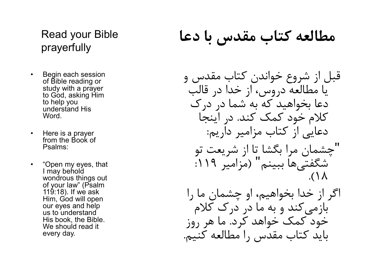### Read your Bible prayerfully

- Read your Bible<br>
prayerfully<br>
 Begin each session<br>
of Bible reading or<br>
study with a prayer<br>
to God, asking Him<br>
to help you of Bible reading or study with a prayer to God, asking Him to help you understand His Word. **France of School School Search School School Search School Search School Search School Search School Search School Search School Search School Search School Search School Search School Search School Search School Search S** • Begin each session<br>
of Bible reading or<br>
study with a prayer<br>
to God, asking Him<br>
to help you<br>
understand His<br>
Word.<br>
• Here is a prayer<br>
from the Book of<br>
Psalms:<br>
• "Open my eyes, that<br>
I may behold<br>
wondrous things o
- from the Book of Psalms:
- I may behold wondrous things out of your law" (Psalm 119:18). If we ask Him, God will open our eyes and help us to understand His book, the Bible. We should read it every day.

# مطالعه كتاب مقدس با دعا

قبل از شروع خواندن كتاب مقدس و يا مطالعه دروس، از خدا در قالب دعا بخواهيد كه به شما در درك كلام خود كمك كند. در اينجا دعايي از كتاب مزامير داريم: "چشمان مرا بگشا تا از شريعت تو شگفتي ها ببينم" (مزامير :١١٩ .(١٨ اگر از خدا بخواهيم، او چشمان ما را باز مي كند و به ما در درك كلام خود كمك خواهد كرد. ما هر روز بايد كتاب مقدس را مطالعه كنيم.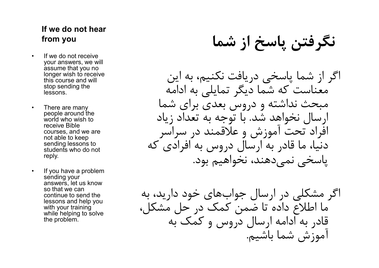# If we do not hear

- **If we do not hear<br>
from you<br>
 If we do not receive<br>
your answers, we will<br>
assume that you no<br>
longer wish to receive<br>
this course and will<br>
<b>4.**<br> **4.**<br> **4.**<br> **4.** your answers, we will assume that you no longer wish to receive this course and will stop sending the lessons. **If we do not hear**<br> **from you**<br>
• If we do not receive<br>
your answers, we will<br>
assume that you no<br>
longer wish to receive<br>
this course and will<br>
stop sending the<br>
essons.<br>
• There are many<br>
people around the<br>
world who w
- people around the world who wish to receive Bible courses, and we are not able to keep sending lessons to students who do not reply.
- sending your answers, let us know so that we can continue to send the lessons and help you with your training while helping to solve the problem.

نگرفتن پاسخ از شما you from

• If we do not receive<br>your answers, we will<br>assume that you no<br>this course and will<br>they sending the<br>theseons.<br>• There are many<br>people around the<br>verole around the<br>verole around the<br>receive Bible<br>courses, and we are<br>not اگر از شما پاسخي دريافت نكنيم، به اين معناست كه شما ديگر تمايلي به ادامه مبحث نداشته و دروس بعدي براي شما ارسال نخواهد شد. با توجه به تعداد زياد افراد تحت آموزش و علاقمند در سراسر دنيا، ما قادر به ارسال دروس به افرادي كه پاسخي نمي دهند، نخواهيم بود.

اگر مشكلي در ارسال جواب هاي خود داريد، به ما اطلاع داده تا ضمن كمك در حل مشكل، قادر به ادامه ارسال دروس و كمك به آموزش شما باشيم.